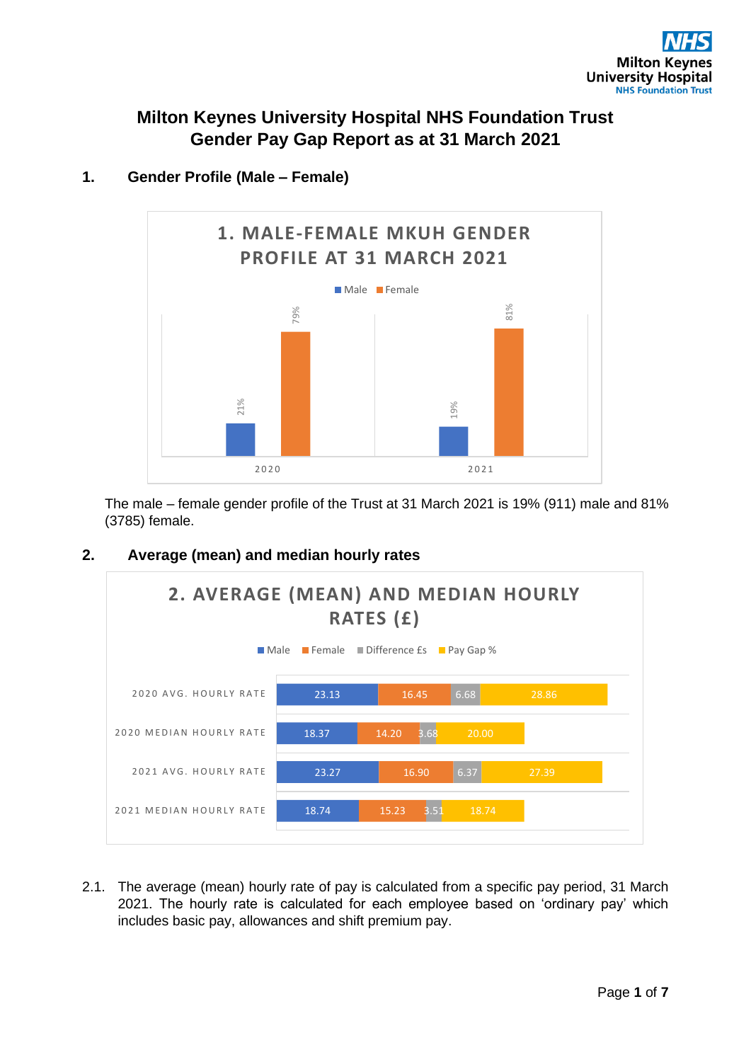# **Milton Keynes University Hospital NHS Foundation Trust Gender Pay Gap Report as at 31 March 2021**



### **1. Gender Profile (Male – Female)**

The male – female gender profile of the Trust at 31 March 2021 is 19% (911) male and 81% (3785) female.

### **2. Average (mean) and median hourly rates**



2.1. The average (mean) hourly rate of pay is calculated from a specific pay period, 31 March 2021. The hourly rate is calculated for each employee based on 'ordinary pay' which includes basic pay, allowances and shift premium pay.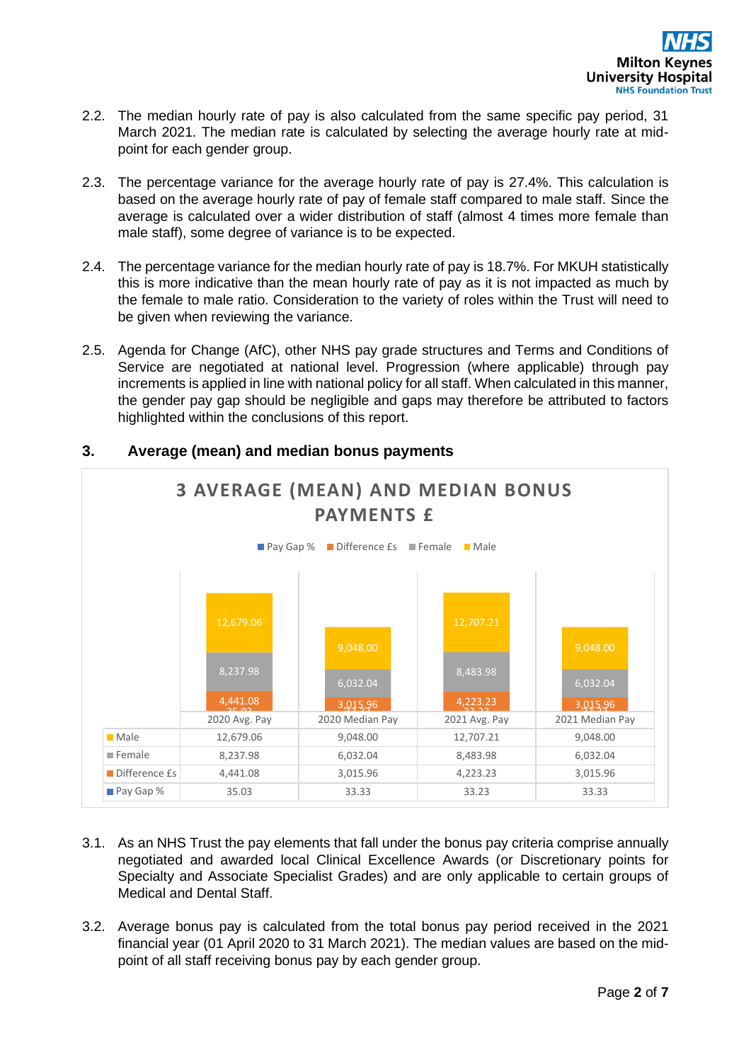- 2.2. The median hourly rate of pay is also calculated from the same specific pay period, 31 March 2021. The median rate is calculated by selecting the average hourly rate at midpoint for each gender group.
- 2.3. The percentage variance for the average hourly rate of pay is 27.4%. This calculation is based on the average hourly rate of pay of female staff compared to male staff. Since the average is calculated over a wider distribution of staff (almost 4 times more female than male staff), some degree of variance is to be expected.
- 2.4. The percentage variance for the median hourly rate of pay is 18.7%. For MKUH statistically this is more indicative than the mean hourly rate of pay as it is not impacted as much by the female to male ratio. Consideration to the variety of roles within the Trust will need to be given when reviewing the variance.
- 2.5. Agenda for Change (AfC), other NHS pay grade structures and Terms and Conditions of Service are negotiated at national level. Progression (where applicable) through pay increments is applied in line with national policy for all staff. When calculated in this manner, the gender pay gap should be negligible and gaps may therefore be attributed to factors highlighted within the conclusions of this report.



## **3. Average (mean) and median bonus payments**

- 3.1. As an NHS Trust the pay elements that fall under the bonus pay criteria comprise annually negotiated and awarded local Clinical Excellence Awards (or Discretionary points for Specialty and Associate Specialist Grades) and are only applicable to certain groups of Medical and Dental Staff.
- 3.2. Average bonus pay is calculated from the total bonus pay period received in the 2021 financial year (01 April 2020 to 31 March 2021). The median values are based on the midpoint of all staff receiving bonus pay by each gender group.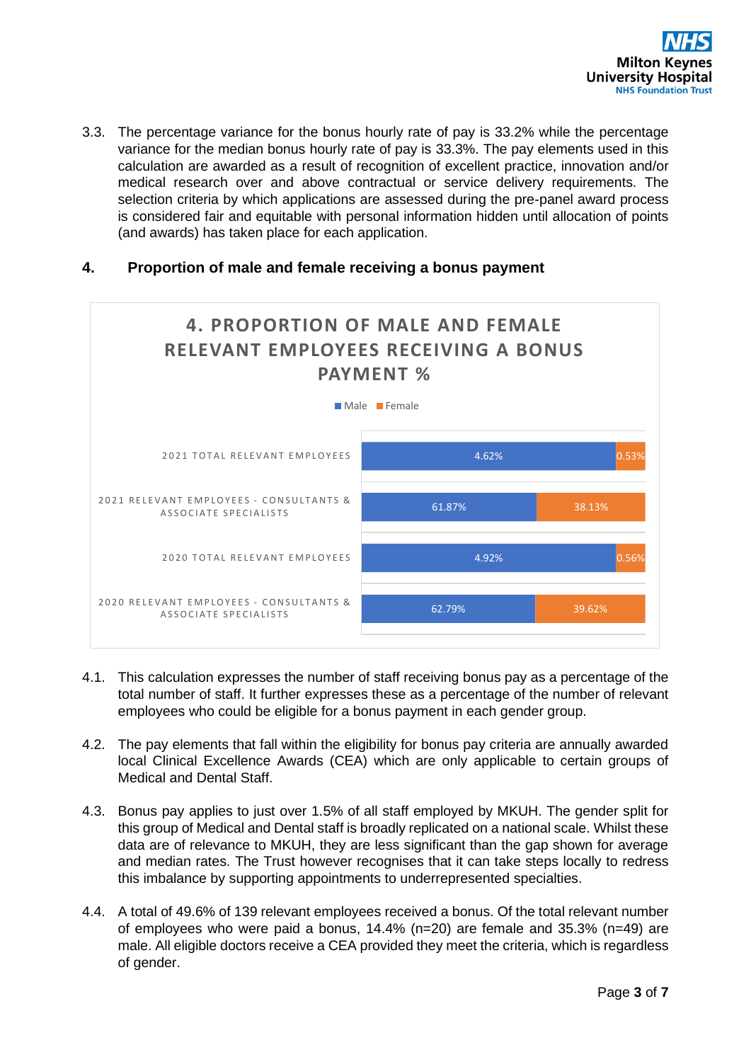

3.3. The percentage variance for the bonus hourly rate of pay is 33.2% while the percentage variance for the median bonus hourly rate of pay is 33.3%. The pay elements used in this calculation are awarded as a result of recognition of excellent practice, innovation and/or medical research over and above contractual or service delivery requirements. The selection criteria by which applications are assessed during the pre-panel award process is considered fair and equitable with personal information hidden until allocation of points (and awards) has taken place for each application.

#### **4. Proportion of male and female receiving a bonus payment**



- 4.1. This calculation expresses the number of staff receiving bonus pay as a percentage of the total number of staff. It further expresses these as a percentage of the number of relevant employees who could be eligible for a bonus payment in each gender group.
- 4.2. The pay elements that fall within the eligibility for bonus pay criteria are annually awarded local Clinical Excellence Awards (CEA) which are only applicable to certain groups of Medical and Dental Staff.
- 4.3. Bonus pay applies to just over 1.5% of all staff employed by MKUH. The gender split for this group of Medical and Dental staff is broadly replicated on a national scale. Whilst these data are of relevance to MKUH, they are less significant than the gap shown for average and median rates. The Trust however recognises that it can take steps locally to redress this imbalance by supporting appointments to underrepresented specialties.
- 4.4. A total of 49.6% of 139 relevant employees received a bonus. Of the total relevant number of employees who were paid a bonus,  $14.4\%$  (n=20) are female and 35.3% (n=49) are male. All eligible doctors receive a CEA provided they meet the criteria, which is regardless of gender.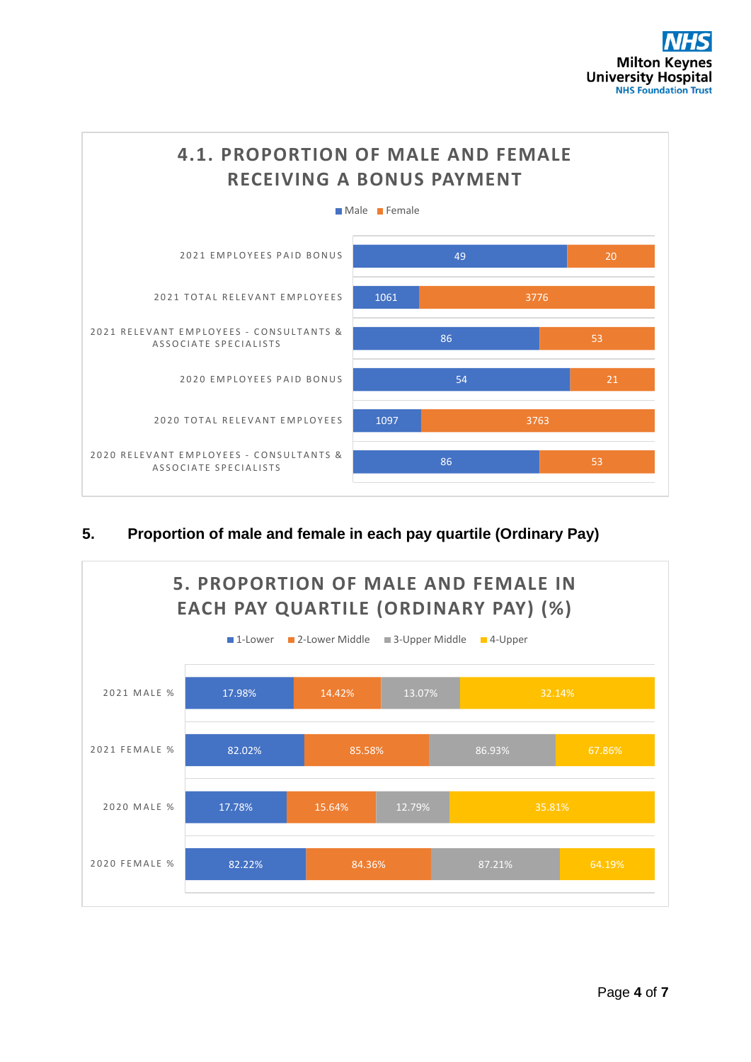

### **5. Proportion of male and female in each pay quartile (Ordinary Pay)**

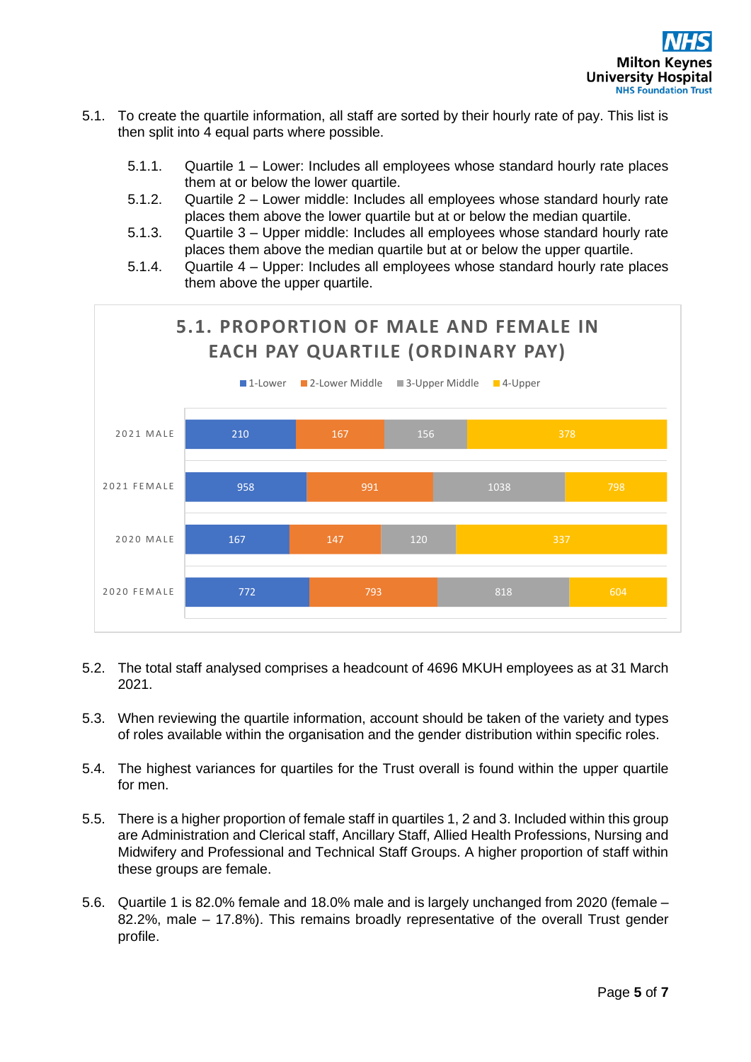- 5.1. To create the quartile information, all staff are sorted by their hourly rate of pay. This list is then split into 4 equal parts where possible.
	- 5.1.1. Quartile 1 Lower: Includes all employees whose standard hourly rate places them at or below the lower quartile.
	- 5.1.2. Quartile 2 Lower middle: Includes all employees whose standard hourly rate places them above the lower quartile but at or below the median quartile.
	- 5.1.3. Quartile 3 Upper middle: Includes all employees whose standard hourly rate places them above the median quartile but at or below the upper quartile.
	- 5.1.4. Quartile 4 Upper: Includes all employees whose standard hourly rate places them above the upper quartile.



- 5.2. The total staff analysed comprises a headcount of 4696 MKUH employees as at 31 March 2021.
- 5.3. When reviewing the quartile information, account should be taken of the variety and types of roles available within the organisation and the gender distribution within specific roles.
- 5.4. The highest variances for quartiles for the Trust overall is found within the upper quartile for men.
- 5.5. There is a higher proportion of female staff in quartiles 1, 2 and 3. Included within this group are Administration and Clerical staff, Ancillary Staff, Allied Health Professions, Nursing and Midwifery and Professional and Technical Staff Groups. A higher proportion of staff within these groups are female.
- 5.6. Quartile 1 is 82.0% female and 18.0% male and is largely unchanged from 2020 (female 82.2%, male – 17.8%). This remains broadly representative of the overall Trust gender profile.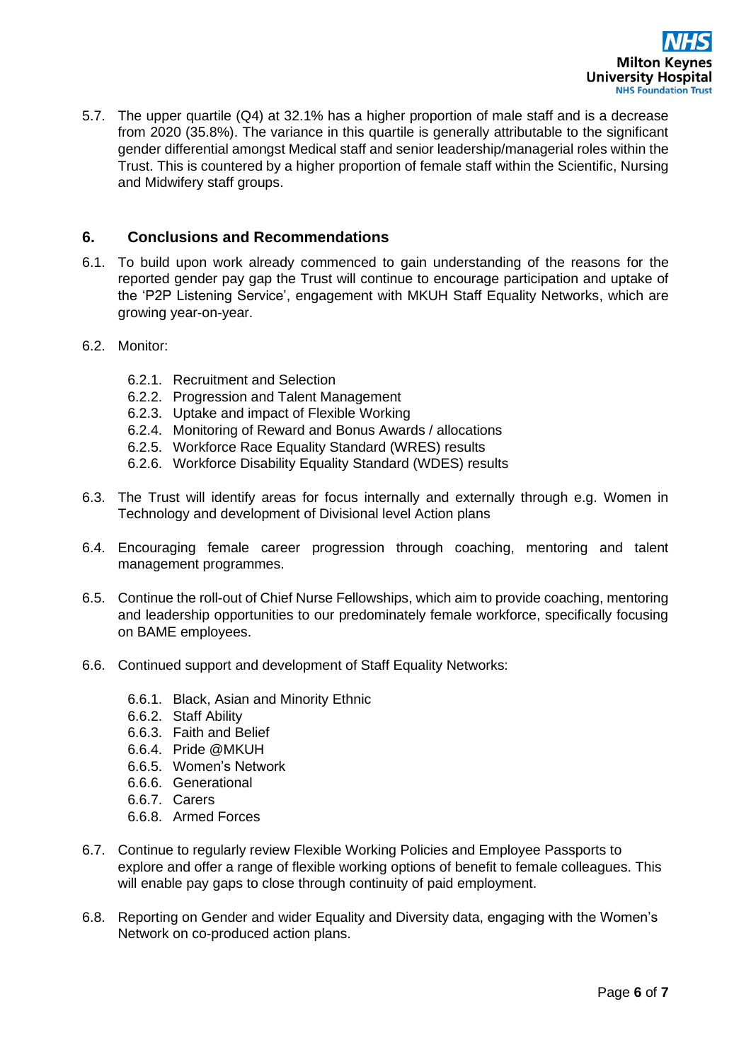

5.7. The upper quartile (Q4) at 32.1% has a higher proportion of male staff and is a decrease from 2020 (35.8%). The variance in this quartile is generally attributable to the significant gender differential amongst Medical staff and senior leadership/managerial roles within the Trust. This is countered by a higher proportion of female staff within the Scientific, Nursing and Midwifery staff groups.

#### **6. Conclusions and Recommendations**

- 6.1. To build upon work already commenced to gain understanding of the reasons for the reported gender pay gap the Trust will continue to encourage participation and uptake of the 'P2P Listening Service', engagement with MKUH Staff Equality Networks, which are growing year-on-year.
- 6.2. Monitor:
	- 6.2.1. Recruitment and Selection
	- 6.2.2. Progression and Talent Management
	- 6.2.3. Uptake and impact of Flexible Working
	- 6.2.4. Monitoring of Reward and Bonus Awards / allocations
	- 6.2.5. Workforce Race Equality Standard (WRES) results
	- 6.2.6. Workforce Disability Equality Standard (WDES) results
- 6.3. The Trust will identify areas for focus internally and externally through e.g. Women in Technology and development of Divisional level Action plans
- 6.4. Encouraging female career progression through coaching, mentoring and talent management programmes.
- 6.5. Continue the roll-out of Chief Nurse Fellowships, which aim to provide coaching, mentoring and leadership opportunities to our predominately female workforce, specifically focusing on BAME employees.
- 6.6. Continued support and development of Staff Equality Networks:
	- 6.6.1. Black, Asian and Minority Ethnic
	- 6.6.2. Staff Ability
	- 6.6.3. Faith and Belief
	- 6.6.4. Pride @MKUH
	- 6.6.5. Women's Network
	- 6.6.6. Generational
	- 6.6.7. Carers
	- 6.6.8. Armed Forces
- 6.7. Continue to regularly review Flexible Working Policies and Employee Passports to explore and offer a range of flexible working options of benefit to female colleagues. This will enable pay gaps to close through continuity of paid employment.
- 6.8. Reporting on Gender and wider Equality and Diversity data, engaging with the Women's Network on co-produced action plans.